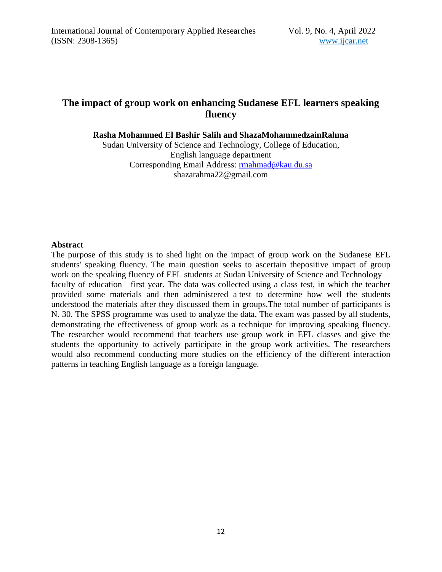# **The impact of group work on enhancing Sudanese EFL learners speaking fluency**

**Rasha Mohammed El Bashir Salih and ShazaMohammedzainRahma**

Sudan University of Science and Technology, College of Education, English language department Corresponding Email Address: [rmahmad@kau.du.sa](mailto:rmahmad@kau.du.sa) shazarahma22@gmail.com

#### **Abstract**

The purpose of this study is to shed light on the impact of group work on the Sudanese EFL students' speaking fluency. The main question seeks to ascertain thepositive impact of group work on the speaking fluency of EFL students at Sudan University of Science and Technology faculty of education—first year. The data was collected using a class test, in which the teacher provided some materials and then administered a test to determine how well the students understood the materials after they discussed them in groups.The total number of participants is N. 30. The SPSS programme was used to analyze the data. The exam was passed by all students, demonstrating the effectiveness of group work as a technique for improving speaking fluency. The researcher would recommend that teachers use group work in EFL classes and give the students the opportunity to actively participate in the group work activities. The researchers would also recommend conducting more studies on the efficiency of the different interaction patterns in teaching English language as a foreign language.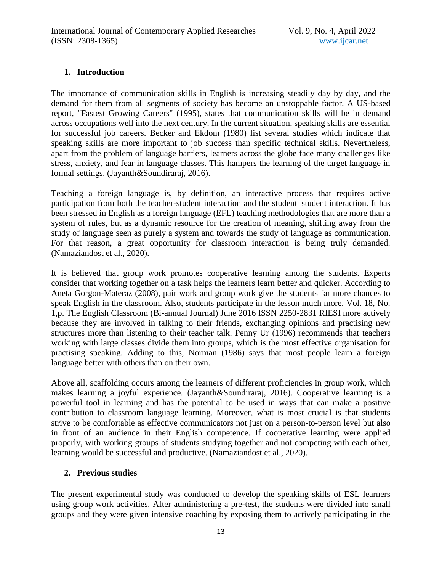## **1. Introduction**

The importance of communication skills in English is increasing steadily day by day, and the demand for them from all segments of society has become an unstoppable factor. A US-based report, "Fastest Growing Careers" (1995), states that communication skills will be in demand across occupations well into the next century. In the current situation, speaking skills are essential for successful job careers. Becker and Ekdom (1980) list several studies which indicate that speaking skills are more important to job success than specific technical skills. Nevertheless, apart from the problem of language barriers, learners across the globe face many challenges like stress, anxiety, and fear in language classes. This hampers the learning of the target language in formal settings. (Jayanth&Soundiraraj, 2016).

Teaching a foreign language is, by definition, an interactive process that requires active participation from both the teacher-student interaction and the student–student interaction. It has been stressed in English as a foreign language (EFL) teaching methodologies that are more than a system of rules, but as a dynamic resource for the creation of meaning, shifting away from the study of language seen as purely a system and towards the study of language as communication. For that reason, a great opportunity for classroom interaction is being truly demanded. (Namaziandost et al., 2020).

It is believed that group work promotes cooperative learning among the students. Experts consider that working together on a task helps the learners learn better and quicker. According to Aneta Gorgon-Materaz (2008), pair work and group work give the students far more chances to speak English in the classroom. Also, students participate in the lesson much more. Vol. 18, No. 1,p. The English Classroom (Bi-annual Journal) June 2016 ISSN 2250-2831 RIESI more actively because they are involved in talking to their friends, exchanging opinions and practising new structures more than listening to their teacher talk. Penny Ur (1996) recommends that teachers working with large classes divide them into groups, which is the most effective organisation for practising speaking. Adding to this, Norman (1986) says that most people learn a foreign language better with others than on their own.

Above all, scaffolding occurs among the learners of different proficiencies in group work, which makes learning a joyful experience. (Jayanth&Soundiraraj, 2016). Cooperative learning is a powerful tool in learning and has the potential to be used in ways that can make a positive contribution to classroom language learning. Moreover, what is most crucial is that students strive to be comfortable as effective communicators not just on a person-to-person level but also in front of an audience in their English competence. If cooperative learning were applied properly, with working groups of students studying together and not competing with each other, learning would be successful and productive. (Namaziandost et al., 2020).

## **2. Previous studies**

The present experimental study was conducted to develop the speaking skills of ESL learners using group work activities. After administering a pre-test, the students were divided into small groups and they were given intensive coaching by exposing them to actively participating in the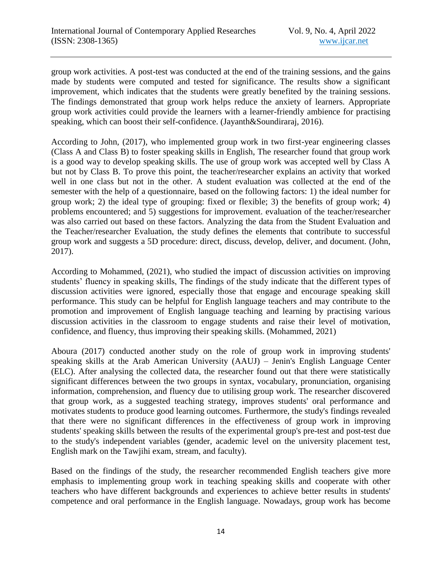group work activities. A post-test was conducted at the end of the training sessions, and the gains made by students were computed and tested for significance. The results show a significant improvement, which indicates that the students were greatly benefited by the training sessions. The findings demonstrated that group work helps reduce the anxiety of learners. Appropriate group work activities could provide the learners with a learner-friendly ambience for practising speaking, which can boost their self-confidence. (Jayanth&Soundiraraj, 2016).

According to John, (2017), who implemented group work in two first-year engineering classes (Class A and Class B) to foster speaking skills in English, The researcher found that group work is a good way to develop speaking skills. The use of group work was accepted well by Class A but not by Class B. To prove this point, the teacher/researcher explains an activity that worked well in one class but not in the other. A student evaluation was collected at the end of the semester with the help of a questionnaire, based on the following factors: 1) the ideal number for group work; 2) the ideal type of grouping: fixed or flexible; 3) the benefits of group work; 4) problems encountered; and 5) suggestions for improvement. evaluation of the teacher/researcher was also carried out based on these factors. Analyzing the data from the Student Evaluation and the Teacher/researcher Evaluation, the study defines the elements that contribute to successful group work and suggests a 5D procedure: direct, discuss, develop, deliver, and document. (John, 2017).

According to Mohammed, (2021), who studied the impact of discussion activities on improving students' fluency in speaking skills, The findings of the study indicate that the different types of discussion activities were ignored, especially those that engage and encourage speaking skill performance. This study can be helpful for English language teachers and may contribute to the promotion and improvement of English language teaching and learning by practising various discussion activities in the classroom to engage students and raise their level of motivation, confidence, and fluency, thus improving their speaking skills. (Mohammed, 2021)

Aboura (2017) conducted another study on the role of group work in improving students' speaking skills at the Arab American University (AAUJ) – Jenin's English Language Center (ELC). After analysing the collected data, the researcher found out that there were statistically significant differences between the two groups in syntax, vocabulary, pronunciation, organising information, comprehension, and fluency due to utilising group work. The researcher discovered that group work, as a suggested teaching strategy, improves students' oral performance and motivates students to produce good learning outcomes. Furthermore, the study's findings revealed that there were no significant differences in the effectiveness of group work in improving students' speaking skills between the results of the experimental group's pre-test and post-test due to the study's independent variables (gender, academic level on the university placement test, English mark on the Tawjihi exam, stream, and faculty).

Based on the findings of the study, the researcher recommended English teachers give more emphasis to implementing group work in teaching speaking skills and cooperate with other teachers who have different backgrounds and experiences to achieve better results in students' competence and oral performance in the English language. Nowadays, group work has become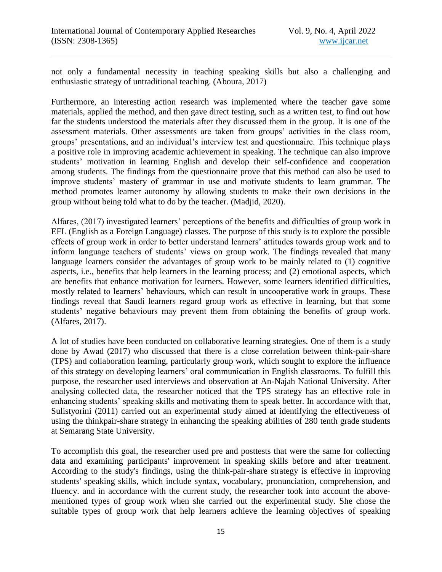not only a fundamental necessity in teaching speaking skills but also a challenging and enthusiastic strategy of untraditional teaching. (Aboura, 2017)

Furthermore, an interesting action research was implemented where the teacher gave some materials, applied the method, and then gave direct testing, such as a written test, to find out how far the students understood the materials after they discussed them in the group. It is one of the assessment materials. Other assessments are taken from groups' activities in the class room, groups' presentations, and an individual's interview test and questionnaire. This technique plays a positive role in improving academic achievement in speaking. The technique can also improve students' motivation in learning English and develop their self-confidence and cooperation among students. The findings from the questionnaire prove that this method can also be used to improve students' mastery of grammar in use and motivate students to learn grammar. The method promotes learner autonomy by allowing students to make their own decisions in the group without being told what to do by the teacher. (Madjid, 2020).

Alfares, (2017) investigated learners' perceptions of the benefits and difficulties of group work in EFL (English as a Foreign Language) classes. The purpose of this study is to explore the possible effects of group work in order to better understand learners' attitudes towards group work and to inform language teachers of students' views on group work. The findings revealed that many language learners consider the advantages of group work to be mainly related to (1) cognitive aspects, i.e., benefits that help learners in the learning process; and (2) emotional aspects, which are benefits that enhance motivation for learners. However, some learners identified difficulties, mostly related to learners' behaviours, which can result in uncooperative work in groups. These findings reveal that Saudi learners regard group work as effective in learning, but that some students' negative behaviours may prevent them from obtaining the benefits of group work. (Alfares, 2017).

A lot of studies have been conducted on collaborative learning strategies. One of them is a study done by Awad (2017) who discussed that there is a close correlation between think-pair-share (TPS) and collaboration learning, particularly group work, which sought to explore the influence of this strategy on developing learners' oral communication in English classrooms. To fulfill this purpose, the researcher used interviews and observation at An-Najah National University. After analysing collected data, the researcher noticed that the TPS strategy has an effective role in enhancing students' speaking skills and motivating them to speak better. In accordance with that, Sulistyorini (2011) carried out an experimental study aimed at identifying the effectiveness of using the thinkpair-share strategy in enhancing the speaking abilities of 280 tenth grade students at Semarang State University.

To accomplish this goal, the researcher used pre and posttests that were the same for collecting data and examining participants' improvement in speaking skills before and after treatment. According to the study's findings, using the think-pair-share strategy is effective in improving students' speaking skills, which include syntax, vocabulary, pronunciation, comprehension, and fluency. and in accordance with the current study, the researcher took into account the abovementioned types of group work when she carried out the experimental study. She chose the suitable types of group work that help learners achieve the learning objectives of speaking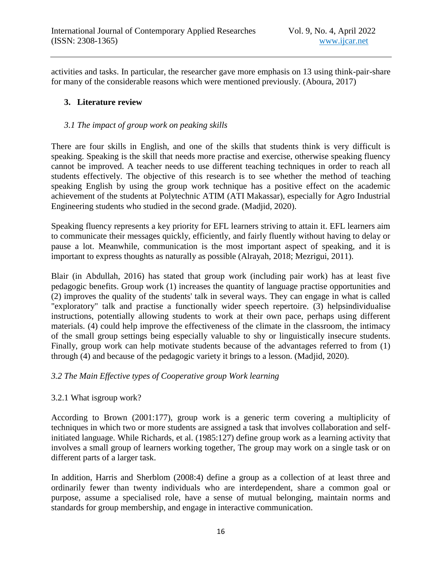activities and tasks. In particular, the researcher gave more emphasis on 13 using think-pair-share for many of the considerable reasons which were mentioned previously. (Aboura, 2017)

## **3. Literature review**

#### *3.1 The impact of group work on peaking skills*

There are four skills in English, and one of the skills that students think is very difficult is speaking. Speaking is the skill that needs more practise and exercise, otherwise speaking fluency cannot be improved. A teacher needs to use different teaching techniques in order to reach all students effectively. The objective of this research is to see whether the method of teaching speaking English by using the group work technique has a positive effect on the academic achievement of the students at Polytechnic ATIM (ATI Makassar), especially for Agro Industrial Engineering students who studied in the second grade. (Madjid, 2020).

Speaking fluency represents a key priority for EFL learners striving to attain it. EFL learners aim to communicate their messages quickly, efficiently, and fairly fluently without having to delay or pause a lot. Meanwhile, communication is the most important aspect of speaking, and it is important to express thoughts as naturally as possible (Alrayah, 2018; Mezrigui, 2011).

Blair (in Abdullah, 2016) has stated that group work (including pair work) has at least five pedagogic benefits. Group work (1) increases the quantity of language practise opportunities and (2) improves the quality of the students' talk in several ways. They can engage in what is called "exploratory" talk and practise a functionally wider speech repertoire. (3) helpsindividualise instructions, potentially allowing students to work at their own pace, perhaps using different materials. (4) could help improve the effectiveness of the climate in the classroom, the intimacy of the small group settings being especially valuable to shy or linguistically insecure students. Finally, group work can help motivate students because of the advantages referred to from (1) through (4) and because of the pedagogic variety it brings to a lesson. (Madjid, 2020).

### *3.2 The Main Effective types of Cooperative group Work learning*

### 3.2.1 What isgroup work?

According to Brown (2001:177), group work is a generic term covering a multiplicity of techniques in which two or more students are assigned a task that involves collaboration and selfinitiated language. While Richards, et al. (1985:127) define group work as a learning activity that involves a small group of learners working together, The group may work on a single task or on different parts of a larger task.

In addition, Harris and Sherblom (2008:4) define a group as a collection of at least three and ordinarily fewer than twenty individuals who are interdependent, share a common goal or purpose, assume a specialised role, have a sense of mutual belonging, maintain norms and standards for group membership, and engage in interactive communication.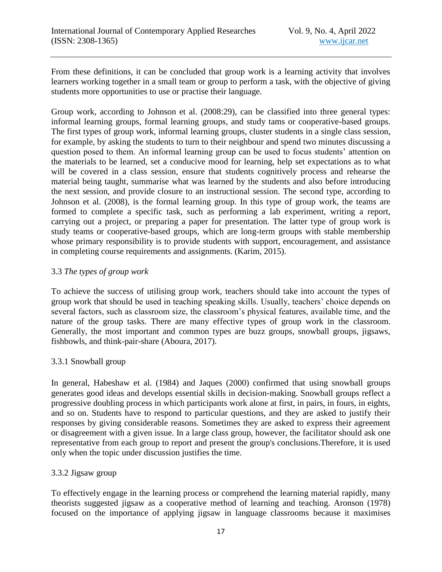From these definitions, it can be concluded that group work is a learning activity that involves learners working together in a small team or group to perform a task, with the objective of giving students more opportunities to use or practise their language.

Group work, according to Johnson et al. (2008:29), can be classified into three general types: informal learning groups, formal learning groups, and study tams or cooperative-based groups. The first types of group work, informal learning groups, cluster students in a single class session, for example, by asking the students to turn to their neighbour and spend two minutes discussing a question posed to them. An informal learning group can be used to focus students' attention on the materials to be learned, set a conducive mood for learning, help set expectations as to what will be covered in a class session, ensure that students cognitively process and rehearse the material being taught, summarise what was learned by the students and also before introducing the next session, and provide closure to an instructional session. The second type, according to Johnson et al. (2008), is the formal learning group. In this type of group work, the teams are formed to complete a specific task, such as performing a lab experiment, writing a report, carrying out a project, or preparing a paper for presentation. The latter type of group work is study teams or cooperative-based groups, which are long-term groups with stable membership whose primary responsibility is to provide students with support, encouragement, and assistance in completing course requirements and assignments. (Karim, 2015).

## 3.3 *The types of group work*

To achieve the success of utilising group work, teachers should take into account the types of group work that should be used in teaching speaking skills. Usually, teachers' choice depends on several factors, such as classroom size, the classroom's physical features, available time, and the nature of the group tasks. There are many effective types of group work in the classroom. Generally, the most important and common types are buzz groups, snowball groups, jigsaws, fishbowls, and think-pair-share (Aboura, 2017).

## 3.3.1 Snowball group

In general, Habeshaw et al. (1984) and Jaques (2000) confirmed that using snowball groups generates good ideas and develops essential skills in decision-making. Snowball groups reflect a progressive doubling process in which participants work alone at first, in pairs, in fours, in eights, and so on. Students have to respond to particular questions, and they are asked to justify their responses by giving considerable reasons. Sometimes they are asked to express their agreement or disagreement with a given issue. In a large class group, however, the facilitator should ask one representative from each group to report and present the group's conclusions.Therefore, it is used only when the topic under discussion justifies the time.

### 3.3.2 Jigsaw group

To effectively engage in the learning process or comprehend the learning material rapidly, many theorists suggested jigsaw as a cooperative method of learning and teaching. Aronson (1978) focused on the importance of applying jigsaw in language classrooms because it maximises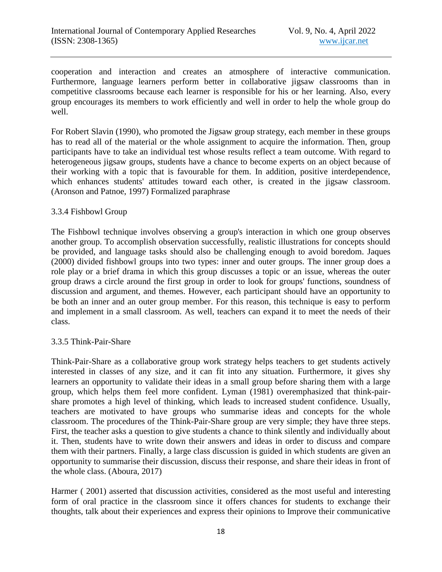cooperation and interaction and creates an atmosphere of interactive communication. Furthermore, language learners perform better in collaborative jigsaw classrooms than in competitive classrooms because each learner is responsible for his or her learning. Also, every group encourages its members to work efficiently and well in order to help the whole group do well.

For Robert Slavin (1990), who promoted the Jigsaw group strategy, each member in these groups has to read all of the material or the whole assignment to acquire the information. Then, group participants have to take an individual test whose results reflect a team outcome. With regard to heterogeneous jigsaw groups, students have a chance to become experts on an object because of their working with a topic that is favourable for them. In addition, positive interdependence, which enhances students' attitudes toward each other, is created in the jigsaw classroom. (Aronson and Patnoe, 1997) Formalized paraphrase

#### 3.3.4 Fishbowl Group

The Fishbowl technique involves observing a group's interaction in which one group observes another group. To accomplish observation successfully, realistic illustrations for concepts should be provided, and language tasks should also be challenging enough to avoid boredom. Jaques (2000) divided fishbowl groups into two types: inner and outer groups. The inner group does a role play or a brief drama in which this group discusses a topic or an issue, whereas the outer group draws a circle around the first group in order to look for groups' functions, soundness of discussion and argument, and themes. However, each participant should have an opportunity to be both an inner and an outer group member. For this reason, this technique is easy to perform and implement in a small classroom. As well, teachers can expand it to meet the needs of their class.

### 3.3.5 Think-Pair-Share

Think-Pair-Share as a collaborative group work strategy helps teachers to get students actively interested in classes of any size, and it can fit into any situation. Furthermore, it gives shy learners an opportunity to validate their ideas in a small group before sharing them with a large group, which helps them feel more confident. Lyman (1981) overemphasized that think-pairshare promotes a high level of thinking, which leads to increased student confidence. Usually, teachers are motivated to have groups who summarise ideas and concepts for the whole classroom. The procedures of the Think-Pair-Share group are very simple; they have three steps. First, the teacher asks a question to give students a chance to think silently and individually about it. Then, students have to write down their answers and ideas in order to discuss and compare them with their partners. Finally, a large class discussion is guided in which students are given an opportunity to summarise their discussion, discuss their response, and share their ideas in front of the whole class. (Aboura, 2017)

Harmer ( 2001) asserted that discussion activities, considered as the most useful and interesting form of oral practice in the classroom since it offers chances for students to exchange their thoughts, talk about their experiences and express their opinions to Improve their communicative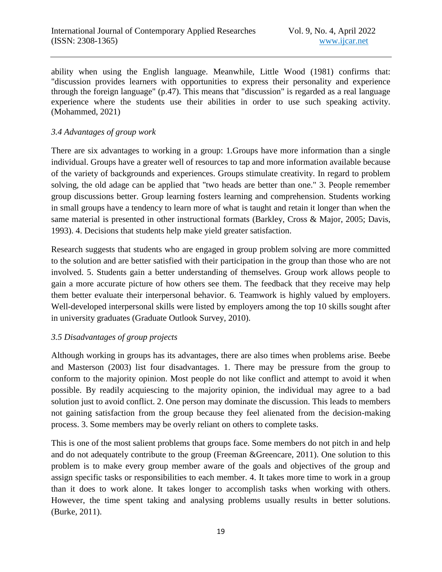ability when using the English language. Meanwhile, Little Wood (1981) confirms that: "discussion provides learners with opportunities to express their personality and experience through the foreign language" (p.47). This means that "discussion" is regarded as a real language experience where the students use their abilities in order to use such speaking activity. (Mohammed, 2021)

### *3.4 Advantages of group work*

There are six advantages to working in a group: 1.Groups have more information than a single individual. Groups have a greater well of resources to tap and more information available because of the variety of backgrounds and experiences. Groups stimulate creativity. In regard to problem solving, the old adage can be applied that "two heads are better than one." 3. People remember group discussions better. Group learning fosters learning and comprehension. Students working in small groups have a tendency to learn more of what is taught and retain it longer than when the same material is presented in other instructional formats (Barkley, Cross & Major, 2005; Davis, 1993). 4. Decisions that students help make yield greater satisfaction.

Research suggests that students who are engaged in group problem solving are more committed to the solution and are better satisfied with their participation in the group than those who are not involved. 5. Students gain a better understanding of themselves. Group work allows people to gain a more accurate picture of how others see them. The feedback that they receive may help them better evaluate their interpersonal behavior. 6. Teamwork is highly valued by employers. Well-developed interpersonal skills were listed by employers among the top 10 skills sought after in university graduates (Graduate Outlook Survey, 2010).

### *3.5 Disadvantages of group projects*

Although working in groups has its advantages, there are also times when problems arise. Beebe and Masterson (2003) list four disadvantages. 1. There may be pressure from the group to conform to the majority opinion. Most people do not like conflict and attempt to avoid it when possible. By readily acquiescing to the majority opinion, the individual may agree to a bad solution just to avoid conflict. 2. One person may dominate the discussion. This leads to members not gaining satisfaction from the group because they feel alienated from the decision-making process. 3. Some members may be overly reliant on others to complete tasks.

This is one of the most salient problems that groups face. Some members do not pitch in and help and do not adequately contribute to the group (Freeman &Greencare, 2011). One solution to this problem is to make every group member aware of the goals and objectives of the group and assign specific tasks or responsibilities to each member. 4. It takes more time to work in a group than it does to work alone. It takes longer to accomplish tasks when working with others. However, the time spent taking and analysing problems usually results in better solutions. (Burke, 2011).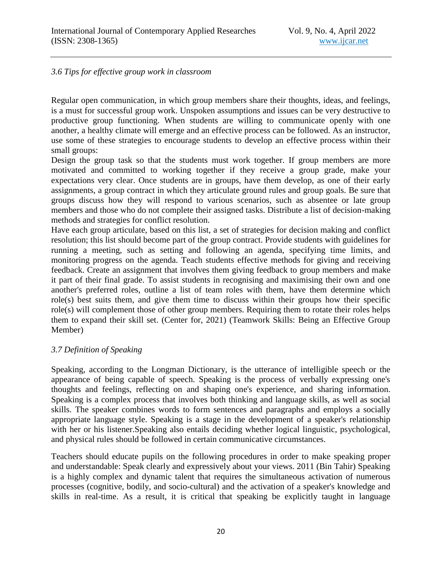#### *3.6 Tips for effective group work in classroom*

Regular open communication, in which group members share their thoughts, ideas, and feelings, is a must for successful group work. Unspoken assumptions and issues can be very destructive to productive group functioning. When students are willing to communicate openly with one another, a healthy climate will emerge and an effective process can be followed. As an instructor, use some of these strategies to encourage students to develop an effective process within their small groups:

Design the group task so that the students must work together. If group members are more motivated and committed to working together if they receive a group grade, make your expectations very clear. Once students are in groups, have them develop, as one of their early assignments, a group contract in which they articulate ground rules and group goals. Be sure that groups discuss how they will respond to various scenarios, such as absentee or late group members and those who do not complete their assigned tasks. Distribute a list of decision-making methods and strategies for conflict resolution.

Have each group articulate, based on this list, a set of strategies for decision making and conflict resolution; this list should become part of the group contract. Provide students with guidelines for running a meeting, such as setting and following an agenda, specifying time limits, and monitoring progress on the agenda. Teach students effective methods for giving and receiving feedback. Create an assignment that involves them giving feedback to group members and make it part of their final grade. To assist students in recognising and maximising their own and one another's preferred roles, outline a list of team roles with them, have them determine which role(s) best suits them, and give them time to discuss within their groups how their specific role(s) will complement those of other group members. Requiring them to rotate their roles helps them to expand their skill set. (Center for, 2021) (Teamwork Skills: Being an Effective Group Member)

#### *3.7 Definition of Speaking*

Speaking, according to the Longman Dictionary, is the utterance of intelligible speech or the appearance of being capable of speech. Speaking is the process of verbally expressing one's thoughts and feelings, reflecting on and shaping one's experience, and sharing information. Speaking is a complex process that involves both thinking and language skills, as well as social skills. The speaker combines words to form sentences and paragraphs and employs a socially appropriate language style. Speaking is a stage in the development of a speaker's relationship with her or his listener.Speaking also entails deciding whether logical linguistic, psychological, and physical rules should be followed in certain communicative circumstances.

Teachers should educate pupils on the following procedures in order to make speaking proper and understandable: Speak clearly and expressively about your views. 2011 (Bin Tahir) Speaking is a highly complex and dynamic talent that requires the simultaneous activation of numerous processes (cognitive, bodily, and socio-cultural) and the activation of a speaker's knowledge and skills in real-time. As a result, it is critical that speaking be explicitly taught in language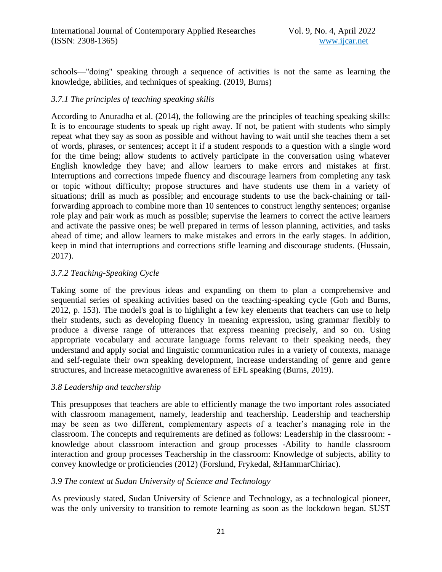schools—"doing" speaking through a sequence of activities is not the same as learning the knowledge, abilities, and techniques of speaking. (2019, Burns)

### *3.7.1 The principles of teaching speaking skills*

According to Anuradha et al. (2014), the following are the principles of teaching speaking skills: It is to encourage students to speak up right away. If not, be patient with students who simply repeat what they say as soon as possible and without having to wait until she teaches them a set of words, phrases, or sentences; accept it if a student responds to a question with a single word for the time being; allow students to actively participate in the conversation using whatever English knowledge they have; and allow learners to make errors and mistakes at first. Interruptions and corrections impede fluency and discourage learners from completing any task or topic without difficulty; propose structures and have students use them in a variety of situations; drill as much as possible; and encourage students to use the back-chaining or tailforwarding approach to combine more than 10 sentences to construct lengthy sentences; organise role play and pair work as much as possible; supervise the learners to correct the active learners and activate the passive ones; be well prepared in terms of lesson planning, activities, and tasks ahead of time; and allow learners to make mistakes and errors in the early stages. In addition, keep in mind that interruptions and corrections stifle learning and discourage students. (Hussain, 2017).

## *3.7.2 Teaching-Speaking Cycle*

Taking some of the previous ideas and expanding on them to plan a comprehensive and sequential series of speaking activities based on the teaching-speaking cycle (Goh and Burns, 2012, p. 153). The model's goal is to highlight a few key elements that teachers can use to help their students, such as developing fluency in meaning expression, using grammar flexibly to produce a diverse range of utterances that express meaning precisely, and so on. Using appropriate vocabulary and accurate language forms relevant to their speaking needs, they understand and apply social and linguistic communication rules in a variety of contexts, manage and self-regulate their own speaking development, increase understanding of genre and genre structures, and increase metacognitive awareness of EFL speaking (Burns, 2019).

### *3.8 Leadership and teachership*

This presupposes that teachers are able to efficiently manage the two important roles associated with classroom management, namely, leadership and teachership. Leadership and teachership may be seen as two different, complementary aspects of a teacher's managing role in the classroom. The concepts and requirements are defined as follows: Leadership in the classroom: knowledge about classroom interaction and group processes -Ability to handle classroom interaction and group processes Teachership in the classroom: Knowledge of subjects, ability to convey knowledge or proficiencies (2012) (Forslund, Frykedal, &HammarChiriac).

### *3.9 The context at Sudan University of Science and Technology*

As previously stated, Sudan University of Science and Technology, as a technological pioneer, was the only university to transition to remote learning as soon as the lockdown began. SUST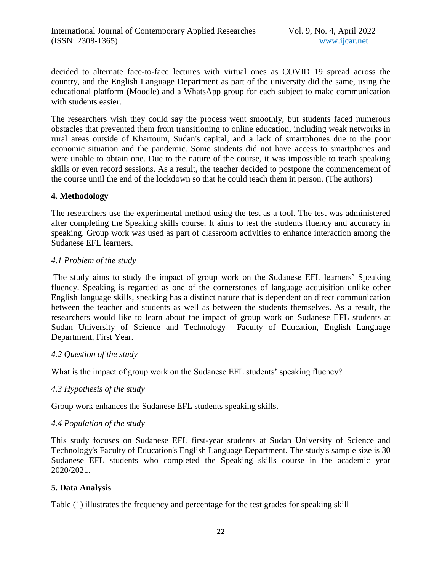decided to alternate face-to-face lectures with virtual ones as COVID 19 spread across the country, and the English Language Department as part of the university did the same, using the educational platform (Moodle) and a WhatsApp group for each subject to make communication with students easier.

The researchers wish they could say the process went smoothly, but students faced numerous obstacles that prevented them from transitioning to online education, including weak networks in rural areas outside of Khartoum, Sudan's capital, and a lack of smartphones due to the poor economic situation and the pandemic. Some students did not have access to smartphones and were unable to obtain one. Due to the nature of the course, it was impossible to teach speaking skills or even record sessions. As a result, the teacher decided to postpone the commencement of the course until the end of the lockdown so that he could teach them in person. (The authors)

### **4. Methodology**

The researchers use the experimental method using the test as a tool. The test was administered after completing the Speaking skills course. It aims to test the students fluency and accuracy in speaking. Group work was used as part of classroom activities to enhance interaction among the Sudanese EFL learners.

#### *4.1 Problem of the study*

The study aims to study the impact of group work on the Sudanese EFL learners' Speaking fluency. Speaking is regarded as one of the cornerstones of language acquisition unlike other English language skills, speaking has a distinct nature that is dependent on direct communication between the teacher and students as well as between the students themselves. As a result, the researchers would like to learn about the impact of group work on Sudanese EFL students at Sudan University of Science and Technology Faculty of Education, English Language Department, First Year.

#### *4.2 Question of the study*

What is the impact of group work on the Sudanese EFL students' speaking fluency?

#### *4.3 Hypothesis of the study*

Group work enhances the Sudanese EFL students speaking skills.

#### *4.4 Population of the study*

This study focuses on Sudanese EFL first-year students at Sudan University of Science and Technology's Faculty of Education's English Language Department. The study's sample size is 30 Sudanese EFL students who completed the Speaking skills course in the academic year 2020/2021.

#### **5. Data Analysis**

Table (1) illustrates the frequency and percentage for the test grades for speaking skill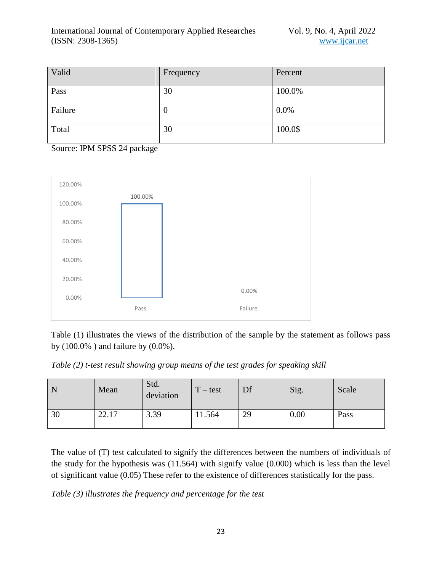| Valid   | Frequency | Percent |
|---------|-----------|---------|
| Pass    | 30        | 100.0%  |
| Failure | $\theta$  | 0.0%    |
| Total   | 30        | 100.0\$ |

Source: IPM SPSS 24 package



Table (1) illustrates the views of the distribution of the sample by the statement as follows pass by (100.0% ) and failure by (0.0%).

*Table (2) t-test result showing group means of the test grades for speaking skill* 

| N  | Mean            | Std.<br>deviation | $T - test$ | Df | Sig. | Scale |
|----|-----------------|-------------------|------------|----|------|-------|
| 30 | 22.17<br>$\cap$ | 3.39              | 11.564     | 29 | 0.00 | Pass  |

The value of (T) test calculated to signify the differences between the numbers of individuals of the study for the hypothesis was (11.564) with signify value (0.000) which is less than the level of significant value (0.05) These refer to the existence of differences statistically for the pass.

*Table (3) illustrates the frequency and percentage for the test*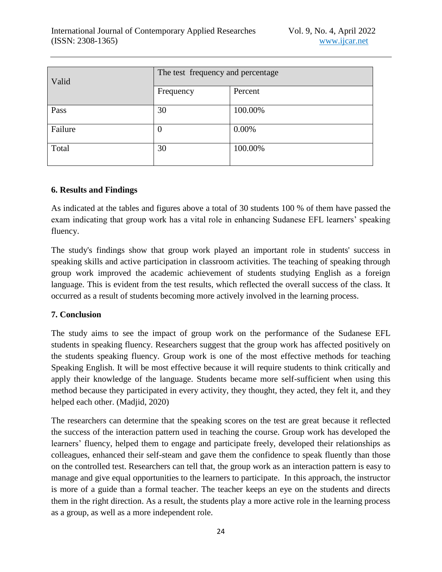| Valid   | The test frequency and percentage |         |  |
|---------|-----------------------------------|---------|--|
|         | Frequency                         | Percent |  |
| Pass    | 30                                | 100.00% |  |
| Failure | O                                 | 0.00%   |  |
| Total   | 30                                | 100.00% |  |

### **6. Results and Findings**

As indicated at the tables and figures above a total of 30 students 100 % of them have passed the exam indicating that group work has a vital role in enhancing Sudanese EFL learners' speaking fluency.

The study's findings show that group work played an important role in students' success in speaking skills and active participation in classroom activities. The teaching of speaking through group work improved the academic achievement of students studying English as a foreign language. This is evident from the test results, which reflected the overall success of the class. It occurred as a result of students becoming more actively involved in the learning process.

### **7. Conclusion**

The study aims to see the impact of group work on the performance of the Sudanese EFL students in speaking fluency. Researchers suggest that the group work has affected positively on the students speaking fluency. Group work is one of the most effective methods for teaching Speaking English. It will be most effective because it will require students to think critically and apply their knowledge of the language. Students became more self-sufficient when using this method because they participated in every activity, they thought, they acted, they felt it, and they helped each other. (Madjid, 2020)

The researchers can determine that the speaking scores on the test are great because it reflected the success of the interaction pattern used in teaching the course. Group work has developed the learners' fluency, helped them to engage and participate freely, developed their relationships as colleagues, enhanced their self-steam and gave them the confidence to speak fluently than those on the controlled test. Researchers can tell that, the group work as an interaction pattern is easy to manage and give equal opportunities to the learners to participate. In this approach, the instructor is more of a guide than a formal teacher. The teacher keeps an eye on the students and directs them in the right direction. As a result, the students play a more active role in the learning process as a group, as well as a more independent role.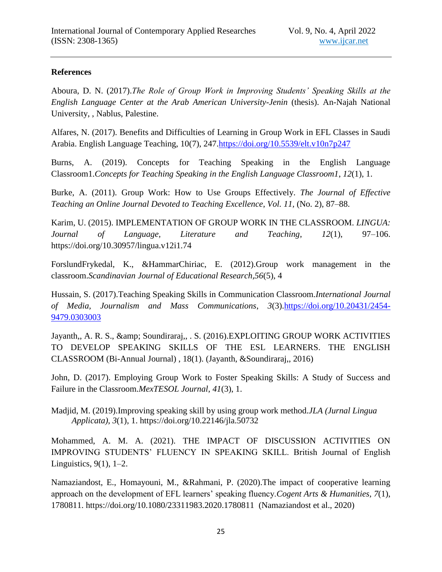## **References**

Aboura, D. N. (2017).*The Role of Group Work in Improving Students' Speaking Skills at the English Language Center at the Arab American University-Jenin* (thesis). An-Najah National University, , Nablus, Palestine.

Alfares, N. (2017). Benefits and Difficulties of Learning in Group Work in EFL Classes in Saudi Arabia. English Language Teaching, 10(7), 247[.https://doi.org/10.5539/elt.v10n7p247](https://doi.org/10.5539/elt.v10n7p247)

Burns, A. (2019). Concepts for Teaching Speaking in the English Language Classroom1.*Concepts for Teaching Speaking in the English Language Classroom1*, *12*(1), 1.

Burke, A. (2011). Group Work: How to Use Groups Effectively. *The Journal of Effective Teaching an Online Journal Devoted to Teaching Excellence*, *Vol. 11,* (No. 2), 87–88.

Karim, U. (2015). IMPLEMENTATION OF GROUP WORK IN THE CLASSROOM. *LINGUA: Journal of Language, Literature and Teaching*, *12*(1), 97–106. https://doi.org/10.30957/lingua.v12i1.74

ForslundFrykedal, K., &HammarChiriac, E. (2012).Group work management in the classroom.*Scandinavian Journal of Educational Research,56*(5), 4

Hussain, S. (2017).Teaching Speaking Skills in Communication Classroom.*International Journal of Media, Journalism and Mass Communications*, *3*(3)[.https://doi.org/10.20431/2454-](https://doi.org/10.20431/2454-9479.0303003) [9479.0303003](https://doi.org/10.20431/2454-9479.0303003)

Jayanth,, A. R. S., & amp; Soundiraraj,, . S. (2016).EXPLOITING GROUP WORK ACTIVITIES TO DEVELOP SPEAKING SKILLS OF THE ESL LEARNERS. THE ENGLISH CLASSROOM (Bi-Annual Journal) , 18(1). (Jayanth, &Soundiraraj,, 2016)

John, D. (2017). Employing Group Work to Foster Speaking Skills: A Study of Success and Failure in the Classroom.*MexTESOL Journal*, *41*(3), 1.

Madjid, M. (2019).Improving speaking skill by using group work method.*JLA (Jurnal Lingua Applicata)*, *3*(1), 1. https://doi.org/10.22146/jla.50732

Mohammed, A. M. A. (2021). THE IMPACT OF DISCUSSION ACTIVITIES ON IMPROVING STUDENTS' FLUENCY IN SPEAKING SKILL. British Journal of English Linguistics,  $9(1)$ ,  $1-2$ .

Namaziandost, E., Homayouni, M., &Rahmani, P. (2020).The impact of cooperative learning approach on the development of EFL learners' speaking fluency.*Cogent Arts & Humanities*, *7*(1), 1780811. https://doi.org/10.1080/23311983.2020.1780811 (Namaziandost et al., 2020)